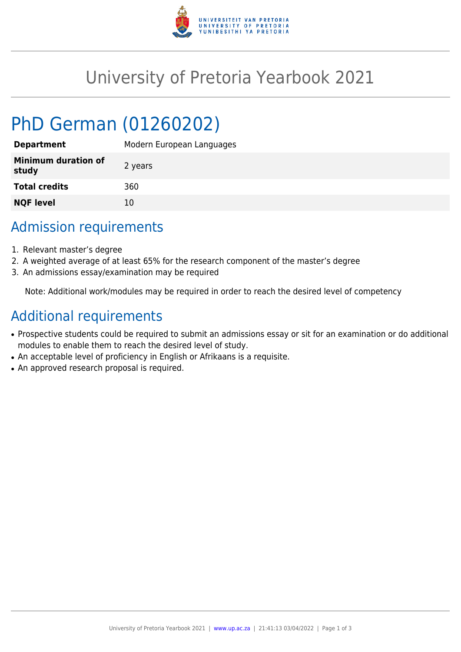

# University of Pretoria Yearbook 2021

# PhD German (01260202)

| <b>Department</b>                   | Modern European Languages |
|-------------------------------------|---------------------------|
| <b>Minimum duration of</b><br>study | 2 years                   |
| <b>Total credits</b>                | 360                       |
| <b>NQF level</b>                    | 10                        |

## Admission requirements

- 1. Relevant master's degree
- 2. A weighted average of at least 65% for the research component of the master's degree
- 3. An admissions essay/examination may be required

Note: Additional work/modules may be required in order to reach the desired level of competency

## Additional requirements

- Prospective students could be required to submit an admissions essay or sit for an examination or do additional modules to enable them to reach the desired level of study.
- An acceptable level of proficiency in English or Afrikaans is a requisite.
- An approved research proposal is required.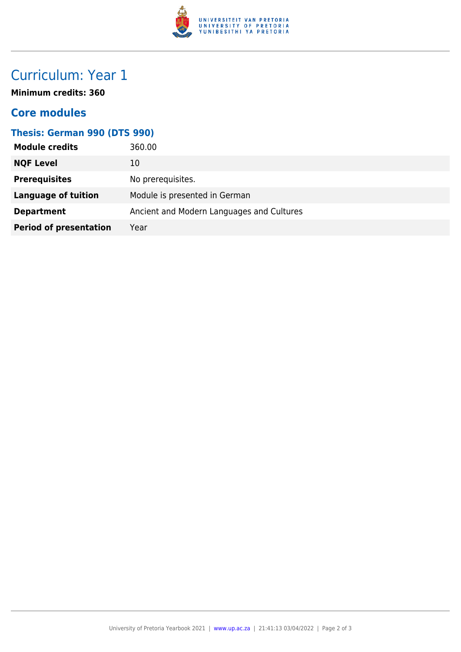

# Curriculum: Year 1

**Minimum credits: 360**

### **Core modules**

#### **Thesis: German 990 (DTS 990)**

| <b>Module credits</b>         | 360.00                                    |
|-------------------------------|-------------------------------------------|
| <b>NQF Level</b>              | 10                                        |
| <b>Prerequisites</b>          | No prerequisites.                         |
| <b>Language of tuition</b>    | Module is presented in German             |
| <b>Department</b>             | Ancient and Modern Languages and Cultures |
| <b>Period of presentation</b> | Year                                      |